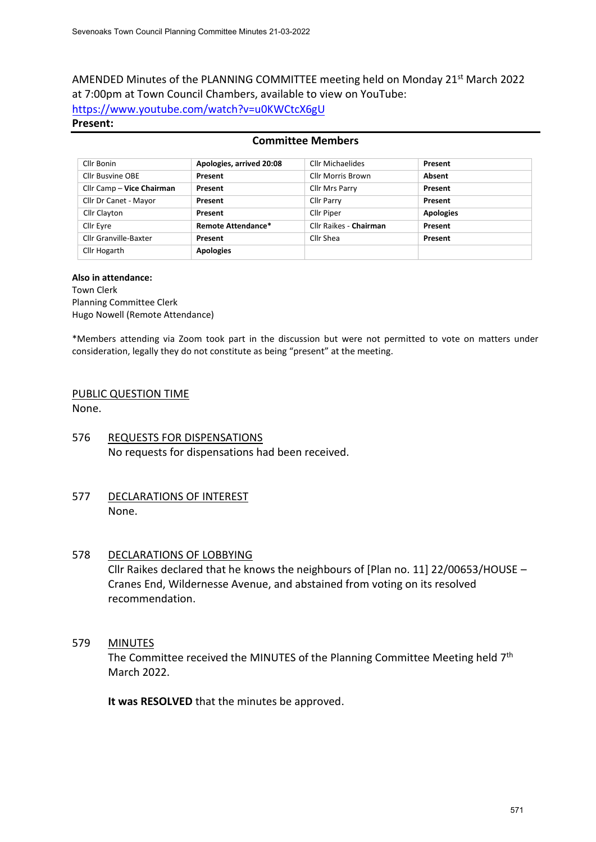AMENDED Minutes of the PLANNING COMMITTEE meeting held on Monday 21st March 2022 at 7:00pm at Town Council Chambers, available to view on YouTube: <https://www.youtube.com/watch?v=u0KWCtcX6gU> **Present:** 

#### **Committee Members**

| Cllr Bonin                | Apologies, arrived 20:08 | <b>Cllr Michaelides</b> | Present          |
|---------------------------|--------------------------|-------------------------|------------------|
| Cllr Busvine OBE          | Present                  | Cllr Morris Brown       | Absent           |
| Cllr Camp - Vice Chairman | Present                  | Cllr Mrs Parry          | Present          |
| Cllr Dr Canet - Mayor     | Present                  | <b>Cllr Parry</b>       | Present          |
| Cllr Clayton              | Present                  | <b>Cllr Piper</b>       | <b>Apologies</b> |
| Cllr Eyre                 | Remote Attendance*       | Cllr Raikes - Chairman  | Present          |
| Cllr Granville-Baxter     | Present                  | Cllr Shea               | Present          |
| Cllr Hogarth              | <b>Apologies</b>         |                         |                  |

#### **Also in attendance:**

Town Clerk Planning Committee Clerk Hugo Nowell (Remote Attendance)

\*Members attending via Zoom took part in the discussion but were not permitted to vote on matters under consideration, legally they do not constitute as being "present" at the meeting.

## PUBLIC QUESTION TIME

None.

- 576 REQUESTS FOR DISPENSATIONS No requests for dispensations had been received.
- 577 DECLARATIONS OF INTEREST None.

### 578 DECLARATIONS OF LOBBYING

Cllr Raikes declared that he knows the neighbours of [Plan no. 11] 22/00653/HOUSE – Cranes End, Wildernesse Avenue, and abstained from voting on its resolved recommendation.

579 MINUTES

The Committee received the MINUTES of the Planning Committee Meeting held 7<sup>th</sup> March 2022.

**It was RESOLVED** that the minutes be approved.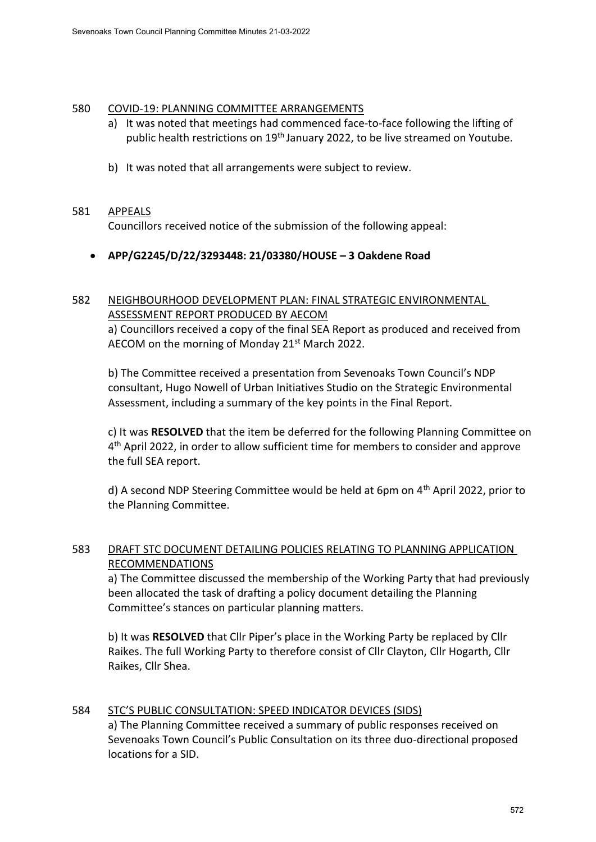### 580 COVID-19: PLANNING COMMITTEE ARRANGEMENTS

- a) It was noted that meetings had commenced face-to-face following the lifting of public health restrictions on 19<sup>th</sup> January 2022, to be live streamed on Youtube.
- b) It was noted that all arrangements were subject to review.

## 581 APPEALS

Councillors received notice of the submission of the following appeal:

## • **APP/G2245/D/22/3293448: 21/03380/HOUSE – 3 Oakdene Road**

## 582 NEIGHBOURHOOD DEVELOPMENT PLAN: FINAL STRATEGIC ENVIRONMENTAL ASSESSMENT REPORT PRODUCED BY AECOM

a) Councillors received a copy of the final SEA Report as produced and received from AECOM on the morning of Monday 21<sup>st</sup> March 2022.

b) The Committee received a presentation from Sevenoaks Town Council's NDP consultant, Hugo Nowell of Urban Initiatives Studio on the Strategic Environmental Assessment, including a summary of the key points in the Final Report.

c) It was **RESOLVED** that the item be deferred for the following Planning Committee on 4<sup>th</sup> April 2022, in order to allow sufficient time for members to consider and approve the full SEA report.

d) A second NDP Steering Committee would be held at 6pm on 4<sup>th</sup> April 2022, prior to the Planning Committee.

## 583 DRAFT STC DOCUMENT DETAILING POLICIES RELATING TO PLANNING APPLICATION RECOMMENDATIONS

a) The Committee discussed the membership of the Working Party that had previously been allocated the task of drafting a policy document detailing the Planning Committee's stances on particular planning matters.

b) It was **RESOLVED** that Cllr Piper's place in the Working Party be replaced by Cllr Raikes. The full Working Party to therefore consist of Cllr Clayton, Cllr Hogarth, Cllr Raikes, Cllr Shea.

## 584 STC'S PUBLIC CONSULTATION: SPEED INDICATOR DEVICES (SIDS)

a) The Planning Committee received a summary of public responses received on Sevenoaks Town Council's Public Consultation on its three duo-directional proposed locations for a SID.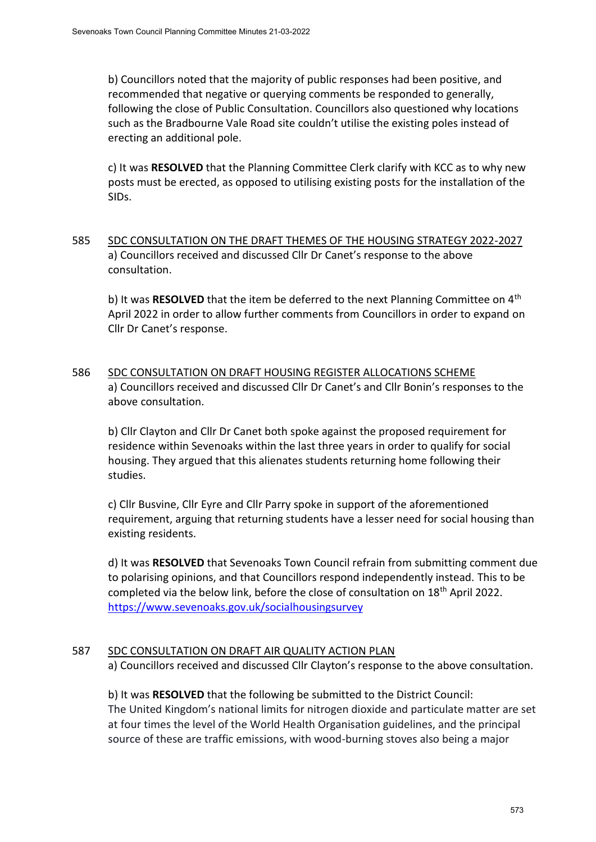b) Councillors noted that the majority of public responses had been positive, and recommended that negative or querying comments be responded to generally, following the close of Public Consultation. Councillors also questioned why locations such as the Bradbourne Vale Road site couldn't utilise the existing poles instead of erecting an additional pole.

c) It was **RESOLVED** that the Planning Committee Clerk clarify with KCC as to why new posts must be erected, as opposed to utilising existing posts for the installation of the SIDs.

585 SDC CONSULTATION ON THE DRAFT THEMES OF THE HOUSING STRATEGY 2022-2027 a) Councillors received and discussed Cllr Dr Canet's response to the above consultation.

b) It was **RESOLVED** that the item be deferred to the next Planning Committee on 4<sup>th</sup> April 2022 in order to allow further comments from Councillors in order to expand on Cllr Dr Canet's response.

586 SDC CONSULTATION ON DRAFT HOUSING REGISTER ALLOCATIONS SCHEME a) Councillors received and discussed Cllr Dr Canet's and Cllr Bonin's responses to the above consultation.

b) Cllr Clayton and Cllr Dr Canet both spoke against the proposed requirement for residence within Sevenoaks within the last three years in order to qualify for social housing. They argued that this alienates students returning home following their studies.

c) Cllr Busvine, Cllr Eyre and Cllr Parry spoke in support of the aforementioned requirement, arguing that returning students have a lesser need for social housing than existing residents.

d) It was **RESOLVED** that Sevenoaks Town Council refrain from submitting comment due to polarising opinions, and that Councillors respond independently instead. This to be completed via the below link, before the close of consultation on 18th April 2022. <https://www.sevenoaks.gov.uk/socialhousingsurvey>

### 587 SDC CONSULTATION ON DRAFT AIR QUALITY ACTION PLAN

a) Councillors received and discussed Cllr Clayton's response to the above consultation.

b) It was **RESOLVED** that the following be submitted to the District Council: The United Kingdom's national limits for nitrogen dioxide and particulate matter are set at four times the level of the World Health Organisation guidelines, and the principal source of these are traffic emissions, with wood-burning stoves also being a major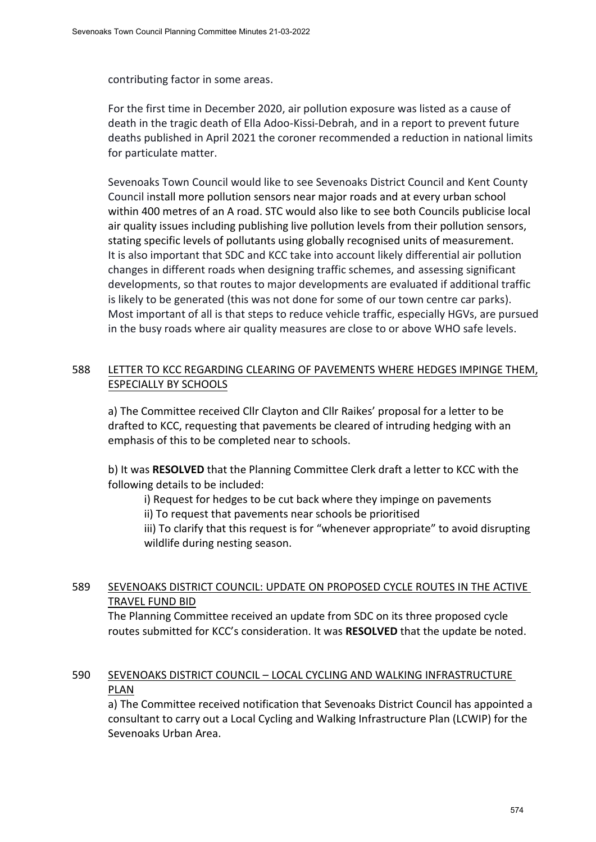contributing factor in some areas.

For the first time in December 2020, air pollution exposure was listed as a cause of death in the tragic death of Ella Adoo-Kissi-Debrah, and in a report to prevent future deaths published in April 2021 the coroner recommended a reduction in national limits for particulate matter.

Sevenoaks Town Council would like to see Sevenoaks District Council and Kent County Council install more pollution sensors near major roads and at every urban school within 400 metres of an A road. STC would also like to see both Councils publicise local air quality issues including publishing live pollution levels from their pollution sensors, stating specific levels of pollutants using globally recognised units of measurement. It is also important that SDC and KCC take into account likely differential air pollution changes in different roads when designing traffic schemes, and assessing significant developments, so that routes to major developments are evaluated if additional traffic is likely to be generated (this was not done for some of our town centre car parks). Most important of all is that steps to reduce vehicle traffic, especially HGVs, are pursued in the busy roads where air quality measures are close to or above WHO safe levels.

#### 588 LETTER TO KCC REGARDING CLEARING OF PAVEMENTS WHERE HEDGES IMPINGE THEM, ESPECIALLY BY SCHOOLS

a) The Committee received Cllr Clayton and Cllr Raikes' proposal for a letter to be drafted to KCC, requesting that pavements be cleared of intruding hedging with an emphasis of this to be completed near to schools.

b) It was **RESOLVED** that the Planning Committee Clerk draft a letter to KCC with the following details to be included:

i) Request for hedges to be cut back where they impinge on pavements

ii) To request that pavements near schools be prioritised

iii) To clarify that this request is for "whenever appropriate" to avoid disrupting wildlife during nesting season.

## 589 SEVENOAKS DISTRICT COUNCIL: UPDATE ON PROPOSED CYCLE ROUTES IN THE ACTIVE TRAVEL FUND BID

The Planning Committee received an update from SDC on its three proposed cycle routes submitted for KCC's consideration. It was **RESOLVED** that the update be noted.

## 590 SEVENOAKS DISTRICT COUNCIL – LOCAL CYCLING AND WALKING INFRASTRUCTURE PLAN

a) The Committee received notification that Sevenoaks District Council has appointed a consultant to carry out a Local Cycling and Walking Infrastructure Plan (LCWIP) for the Sevenoaks Urban Area.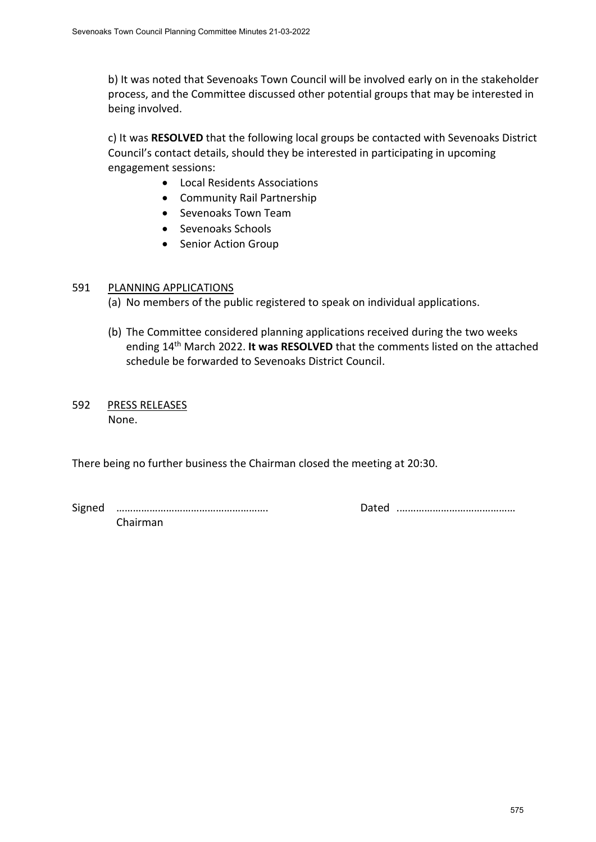b) It was noted that Sevenoaks Town Council will be involved early on in the stakeholder process, and the Committee discussed other potential groups that may be interested in being involved.

c) It was **RESOLVED** that the following local groups be contacted with Sevenoaks District Council's contact details, should they be interested in participating in upcoming engagement sessions:

- Local Residents Associations
- Community Rail Partnership
- Sevenoaks Town Team
- Sevenoaks Schools
- Senior Action Group

### 591 PLANNING APPLICATIONS

- (a) No members of the public registered to speak on individual applications.
- (b) The Committee considered planning applications received during the two weeks ending 14th March 2022. **It was RESOLVED** that the comments listed on the attached schedule be forwarded to Sevenoaks District Council.
- 592 PRESS RELEASES None.

There being no further business the Chairman closed the meeting at 20:30.

Signed ………………………………………………. Dated .…………………………………… Chairman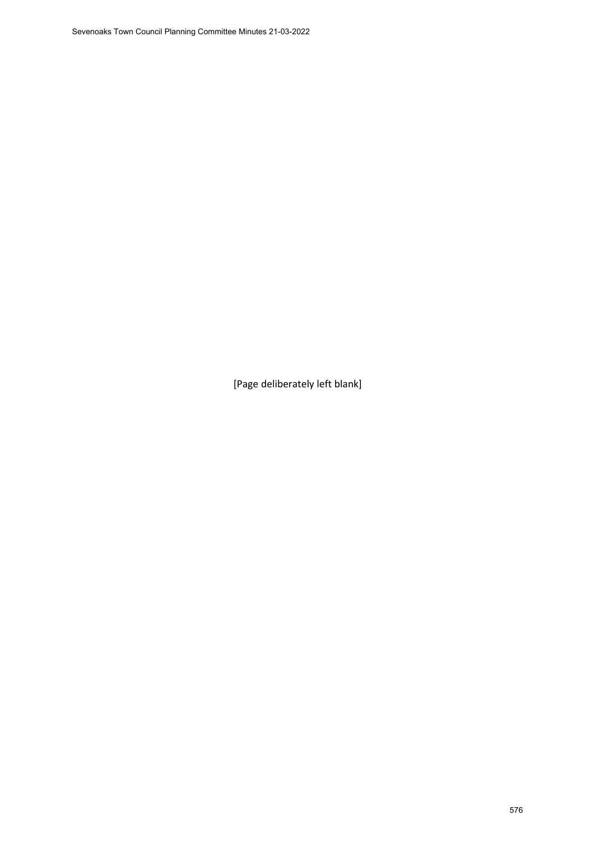[Page deliberately left blank]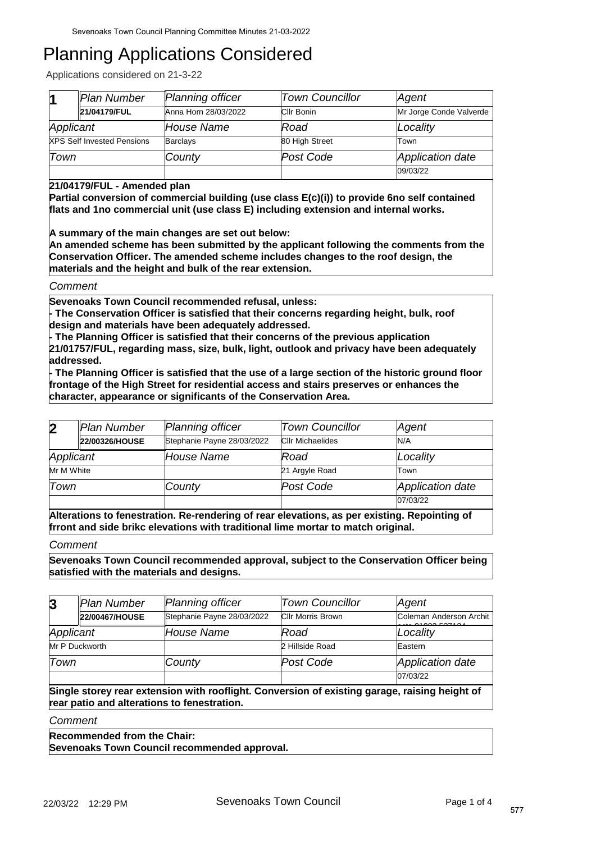Applications considered on 21-3-22

|           | Plan Number                       | <b>Planning officer</b> | <b>Town Councillor</b> | Agent                   |
|-----------|-----------------------------------|-------------------------|------------------------|-------------------------|
|           | 21/04179/FUL                      | Anna Horn 28/03/2022    | Cllr Bonin             | Mr Jorge Conde Valverde |
| Applicant |                                   | House Name              | Road                   | Locality                |
|           | <b>XPS Self Invested Pensions</b> | <b>Barclays</b>         | 80 High Street         | Town                    |
| Town      |                                   | County                  | Post Code              | Application date        |
|           |                                   |                         |                        | 09/03/22                |

#### **21/04179/FUL - Amended plan**

**Partial conversion of commercial building (use class E(c)(i)) to provide 6no self contained flats and 1no commercial unit (use class E) including extension and internal works.**

**A summary of the main changes are set out below:** 

**An amended scheme has been submitted by the applicant following the comments from the Conservation Officer. The amended scheme includes changes to the roof design, the materials and the height and bulk of the rear extension.**

#### *Comment*

**Sevenoaks Town Council recommended refusal, unless:**

**- The Conservation Officer is satisfied that their concerns regarding height, bulk, roof design and materials have been adequately addressed.**

**- The Planning Officer is satisfied that their concerns of the previous application 21/01757/FUL, regarding mass, size, bulk, light, outlook and privacy have been adequately addressed.**

**- The Planning Officer is satisfied that the use of a large section of the historic ground floor frontage of the High Street for residential access and stairs preserves or enhances the character, appearance or significants of the Conservation Area.**

| 2                                                                                            | Plan Number    | <b>Planning officer</b>    | <b>Town Councillor</b>  | Agent            |
|----------------------------------------------------------------------------------------------|----------------|----------------------------|-------------------------|------------------|
|                                                                                              | 22/00326/HOUSE | Stephanie Payne 28/03/2022 | <b>CIIr Michaelides</b> | N/A              |
| Applicant                                                                                    |                | House Name                 | Road                    | Locality         |
| Mr M White                                                                                   |                |                            | 21 Argyle Road          | Town             |
| Town                                                                                         |                | County                     | Post Code               | Application date |
|                                                                                              |                |                            |                         | 07/03/22         |
| Alterations to fenestration. Re-rendering of rear elevations, as per existing. Repointing of |                |                            |                         |                  |

**frront and side brikc elevations with traditional lime mortar to match original.**

#### *Comment*

**Sevenoaks Town Council recommended approval, subject to the Conservation Officer being satisfied with the materials and designs.**

| 3                                                                                             | Plan Number    | <b>Planning officer</b>    | <b>Town Councillor</b>   | Agent                                         |
|-----------------------------------------------------------------------------------------------|----------------|----------------------------|--------------------------|-----------------------------------------------|
|                                                                                               | 22/00467/HOUSE | Stephanie Payne 28/03/2022 | <b>Cllr Morris Brown</b> | Coleman Anderson Archit<br>$-$ 04000 $F27404$ |
| Applicant                                                                                     |                | House Name                 | Road                     | Locality                                      |
|                                                                                               | Mr P Duckworth |                            | 2 Hillside Road          | Eastern                                       |
| Town                                                                                          |                | County                     | Post Code                | Application date                              |
|                                                                                               |                |                            |                          | 07/03/22                                      |
| Single storey rear extension with rooflight. Conversion of existing garage, raising height of |                |                            |                          |                                               |

**rear patio and alterations to fenestration.**

### *Comment*

**Recommended from the Chair:** 

**Sevenoaks Town Council recommended approval.**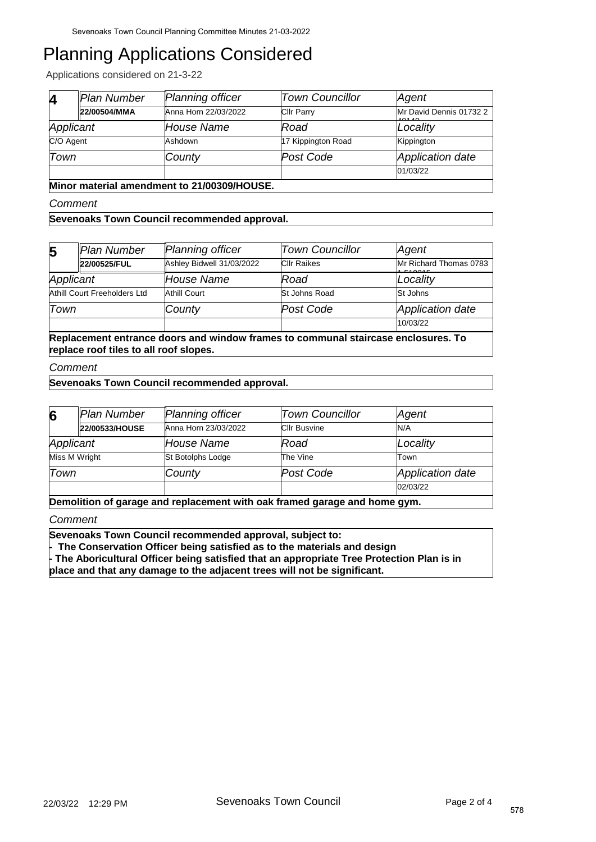Applications considered on 21-3-22

| $\overline{\mathbf{4}}$                     | Plan Number  | <b>Planning officer</b> | <b>Town Councillor</b> | Agent                                  |  |
|---------------------------------------------|--------------|-------------------------|------------------------|----------------------------------------|--|
|                                             | 22/00504/MMA | Anna Horn 22/03/2022    | <b>Cllr Parry</b>      | Mr David Dennis 01732 2<br>$\sqrt{10}$ |  |
| Applicant                                   |              | House Name              | Road                   | Locality                               |  |
| C/O Agent                                   |              | Ashdown                 | 17 Kippington Road     | Kippington                             |  |
| Town                                        |              | County                  | Post Code              | Application date                       |  |
|                                             |              |                         |                        | 01/03/22                               |  |
| Minor material amendment to 21/00309/HOUSE. |              |                         |                        |                                        |  |

*Comment*

**Sevenoaks Town Council recommended approval.**

| $\overline{\mathbf{5}}$                                                           | Plan Number                  | Planning officer          | <b>Town Councillor</b> | Agent                                           |  |
|-----------------------------------------------------------------------------------|------------------------------|---------------------------|------------------------|-------------------------------------------------|--|
|                                                                                   | 22/00525/FUL                 | Ashley Bidwell 31/03/2022 | <b>CIIr Raikes</b>     | Mr Richard Thomas 0783<br>$F \wedge C \wedge F$ |  |
| Applicant                                                                         |                              | House Name                | Road                   | Locality                                        |  |
|                                                                                   | Athill Court Freeholders Ltd | <b>Athill Court</b>       | <b>St Johns Road</b>   | St Johns                                        |  |
| Town                                                                              |                              | County                    | Post Code              | Application date                                |  |
|                                                                                   |                              |                           |                        | 10/03/22                                        |  |
| Replacement entrance doors and window frames to communal staircase enclosures. To |                              |                           |                        |                                                 |  |

**replace roof tiles to all roof slopes.**

*Comment*

**Sevenoaks Town Council recommended approval.**

| 6             | Plan Number    | <b>Planning officer</b>  | <b>Town Councillor</b> | Agent            |
|---------------|----------------|--------------------------|------------------------|------------------|
|               | 22/00533/HOUSE | Anna Horn 23/03/2022     | <b>CIIr Busvine</b>    | N/A              |
| Applicant     |                | House Name               | Road                   | Locality         |
| Miss M Wright |                | <b>St Botolphs Lodge</b> | The Vine               | Town             |
| Town          |                | County                   | Post Code              | Application date |
|               |                |                          |                        | 02/03/22         |

**Demolition of garage and replacement with oak framed garage and home gym.**

*Comment*

**Sevenoaks Town Council recommended approval, subject to:**

**- The Conservation Officer being satisfied as to the materials and design**

**- The Aboricultural Officer being satisfied that an appropriate Tree Protection Plan is in** 

**place and that any damage to the adjacent trees will not be significant.**

578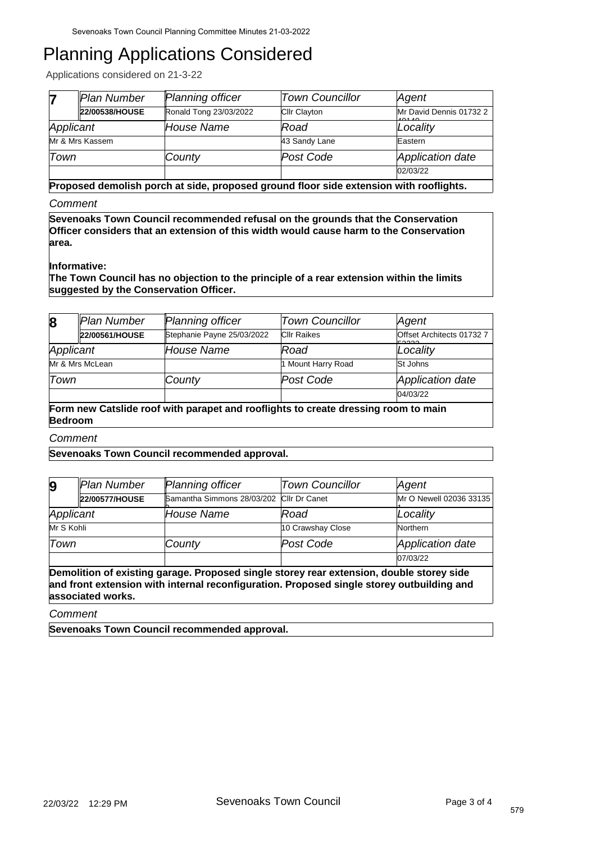Applications considered on 21-3-22

|           | Plan Number     | <b>Planning officer</b> | <b>Town Councillor</b> | Agent                                    |
|-----------|-----------------|-------------------------|------------------------|------------------------------------------|
|           | 22/00538/HOUSE  | Ronald Tong 23/03/2022  | Cllr Clayton           | Mr David Dennis 01732 2<br>$\sqrt{2410}$ |
| Applicant |                 | House Name              | Road                   | Locality                                 |
|           | Mr & Mrs Kassem |                         | 43 Sandy Lane          | Eastern                                  |
| Town      |                 | County                  | Post Code              | Application date                         |
|           |                 |                         |                        | 02/03/22                                 |

**Proposed demolish porch at side, proposed ground floor side extension with rooflights.**

### *Comment*

**Sevenoaks Town Council recommended refusal on the grounds that the Conservation Officer considers that an extension of this width would cause harm to the Conservation area.** 

### **Informative:**

**The Town Council has no objection to the principle of a rear extension within the limits suggested by the Conservation Officer.**

| $\bf{8}$  | Plan Number                                                                        | <b>Planning officer</b>    | <b>Town Councillor</b> | Agent                              |  |  |
|-----------|------------------------------------------------------------------------------------|----------------------------|------------------------|------------------------------------|--|--|
|           | 22/00561/HOUSE                                                                     | Stephanie Payne 25/03/2022 | <b>CIIr Raikes</b>     | Offset Architects 01732 7<br>50000 |  |  |
| Applicant |                                                                                    | House Name                 | Road                   | Locality                           |  |  |
|           | Mr & Mrs McLean                                                                    |                            | 1 Mount Harry Road     | St Johns                           |  |  |
| Town      |                                                                                    | County                     | Post Code              | Application date                   |  |  |
|           |                                                                                    |                            |                        | 04/03/22                           |  |  |
|           | Form new Catslide roof with parapet and rooflights to create dressing room to main |                            |                        |                                    |  |  |
|           | <b>Bedroom</b>                                                                     |                            |                        |                                    |  |  |

*Comment*

### **Sevenoaks Town Council recommended approval.**

| $\boldsymbol{9}$ | Plan Number    | <b>Planning officer</b>                                                                  | <b>Town Councillor</b> | Agent                   |
|------------------|----------------|------------------------------------------------------------------------------------------|------------------------|-------------------------|
|                  | 22/00577/HOUSE | Samantha Simmons 28/03/202 Cllr Dr Canet                                                 |                        | Mr O Newell 02036 33135 |
| Applicant        |                | House Name                                                                               | Road                   | Locality                |
| Mr S Kohli       |                |                                                                                          | 10 Crawshay Close      | Northern                |
| Town             |                | County                                                                                   | Post Code              | Application date        |
|                  |                |                                                                                          |                        | 07/03/22                |
|                  |                | Demalition of existing geroes, Dranspod single starsy rear extension, double starsy side |                        |                         |

**Demolition of existing garage. Proposed single storey rear extension, double storey side and front extension with internal reconfiguration. Proposed single storey outbuilding and associated works.**

*Comment*

**Sevenoaks Town Council recommended approval.**